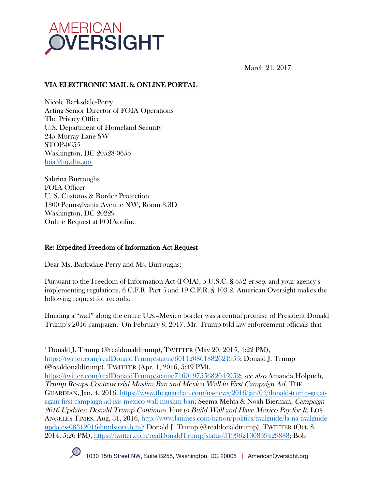

March 21, 2017

# VIA ELECTRONIC MAIL & ONLINE PORTAL

Nicole Barksdale-Perry Acting Senior Director of FOIA Operations The Privacy Office U.S. Department of Homeland Security 245 Murray Lane SW STOP-0655 Washington, DC 20528-0655 foia@hq.dhs.gov

Sabrina Burroughs FOIA Officer U. S. Customs & Border Protection 1300 Pennsylvania Avenue NW, Room 3.3D Washington, DC 20229 Online Request at FOIAonline

## Re: Expedited Freedom of Information Act Request

Dear Ms. Barksdale-Perry and Ms. Burroughs:

Pursuant to the Freedom of Information Act (FOIA), 5 U.S.C. § 552 et seq. and your agency's implementing regulations, 6 C.F.R. Part 5 and 19 C.F.R. § 103.2, American Oversight makes the following request for records.

Building a "wall" along the entire U.S.–Mexico border was a central promise of President Donald Trump's 2016 campaign.1 On February 8, 2017, Mr. Trump told law enforcement officials that

  $^{\textrm{\tiny{\rm{1}}}}$  Donald J. Trump (@realdonaldtrump), TWITTER (May 20, 2015, 4:22 PM), https://twitter.com/realDonaldTrump/status/601120861882621955; Donald J. Trump (@realdonaldtrump), TWITTER (Apr. 1, 2016, 5:49 PM),

https://twitter.com/realDonaldTrump/status/716019755682045952; see also Amanda Holpuch, Trump Re-ups Controversial Muslim Ban and Mexico Wall in First Campaign Ad, THE GUARDIAN, Jan. 4, 2016, https://www.theguardian.com/us-news/2016/jan/04/donald-trump-greatagain-first-campaign-ad-isis-mexico-wall-muslim-ban; Seema Mehta & Noah Bierman, Campaign 2016 Updates: Donald Trump Continues Vow to Build Wall and Have Mexico Pay for It, LOS ANGELES TIMES, Aug. 31, 2016, http://www.latimes.com/nation/politics/trailguide/la-na-trailguideupdates-08312016-htmlstory.html; Donald J. Trump (@realdonaldtrump), TWITTER (Oct. 8, 2014, 5:26 PM), https://twitter.com/realDonaldTrump/status/519962130859429888; Bob

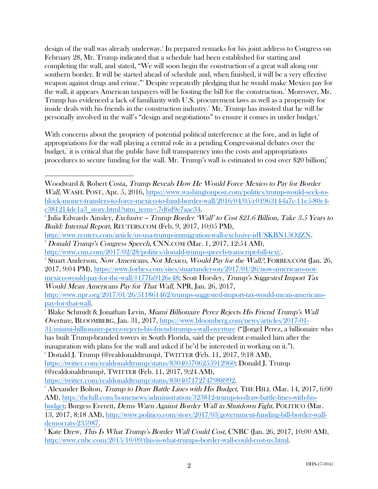design of the wall was already underway. 2 In prepared remarks for his joint address to Congress on February 28, Mr. Trump indicated that a schedule had been established for starting and completing the wall, and stated, "We will soon begin the construction of a great wall along our southern border. It will be started ahead of schedule and, when finished, it will be a very effective weapon against drugs and crime." 3 Despite repeatedly pledging that he would make Mexico pay for the wall, it appears American taxpayers will be footing the bill for the construction.<sup>4</sup> Moreover, Mr. Trump has evidenced a lack of familiarity with U.S. procurement laws as well as a propensity for inside deals with his friends in the construction industry.5 Mr. Trump has insisted that he will be personally involved in the wall's "design and negotiations" to ensure it comes in under budget.6

With concerns about the propriety of potential political interference at the fore, and in light of appropriations for the wall playing a central role in a pending Congressional debates over the  $\mathrm{budget},^{\tau}$  it is critical that the public have full transparency into the costs and appropriations procedures to secure funding for the wall. Mr. Trump's wall is estimated to cost over \$20 billion; 8

31/miami-billionaire-perez-rejects-his-friend-trump-s-wall-overture ("[Jorge] Perez, a billionaire who has built Trump-branded towers in South Florida, said the president e-mailed him after the inauguration with plans for the wall and asked if he'd be interested in working on it."). 6

 $\degree$  Donald J. Trump (@realdonaldtrump), TWITTER (Feb. 11, 2017, 9:18 AM),

https://twitter.com/realdonaldtrump/status/830407172747988992.

 Woodward & Robert Costa, Trump Reveals How He Would Force Mexico to Pay for Border Wall, WASH. POST, Apr. 5, 2016, https://www.washingtonpost.com/politics/trump-would-seek-toblock-money-transfers-to-force-mexico-to-fund-border-wall/2016/04/05/c0196314-fa7c-11e5-80e4 c381214de1a3\_story.html?utm\_term=.7d6d9e7aac34. 2

 $\degree$ Julia Edwards Ainsley, Exclusive – Trump Border 'Wall' to Cost \$21.6 Billion, Take 3.5 Years to Build: Internal Report, REUTERS.COM (Feb. 9, 2017, 10:05 PM),

http://www.reuters.com/article/us-usa-trump-immigration-wall-exclusive-idUSKBN15O2ZN. 3 Donald Trump's Congress Speech, CNN.COM (Mar. 1, 2017, 12:54 AM),

http://www.cnn.com/2017/02/28/politics/donald-trump-speech-transcript-full-text/. 4

<sup>&</sup>lt;sup>4</sup> Stuart Anderson, Now Americans, Not Mexico, Would Pay for the Wall?, FORBES.COM (Jan. 26, 2017, 9:04 PM), https://www.forbes.com/sites/stuartanderson/2017/01/26/now-americans-notmexico-would-pay-for-the-wall/#177fa9126c48; Scott Horsley, Trump's Suggested Import Tax Would Mean Americans Pay for That Wall, NPR, Jan. 26, 2017,

http://www.npr.org/2017/01/26/511861462/trumps-suggested-import-tax-would-mean-americanspay-for-that-wall. 5

Blake Schmidt & Jonathan Levin, Miami Billionaire Perez Rejects His Friend Trump's Wall Overture, BLOOMBERG, Jan. 31, 2017, https://www.bloomberg.com/news/articles/2017-01-

https://twitter.com/realdonaldtrump/status/830405706255912960; Donald J. Trump (@realdonaldtrump), TWITTER (Feb. 11, 2017, 9:24 AM),

 $^7$  Alexander Bolton, *Trump to Draw Battle Lines with His Budget*, THE HILL (Mar. 14, 2017, 6:00  $^7$ AM), http://thehill.com/homenews/administration/323812-trump-to-draw-battle-lines-with-his-

budget; Burgess Everett, Dems Warn Against Border Wall in Shutdown Fight, POLITICO (Mar. 13, 2017, 8:18 AM), http://www.politico.com/story/2017/03/government-funding-bill-border-walldemocrats-235987.

 $\rm\,^8$  Kate Drew, *This Is What Trump's Border Wall Could Cost*, CNBC (Jan. 26, 2017, 10:00 AM), http://www.cnbc.com/2015/10/09/this-is-what-trumps-border-wall-could-cost-us.html.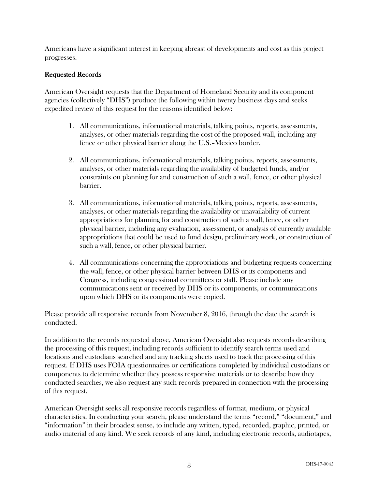Americans have a significant interest in keeping abreast of developments and cost as this project progresses.

### Requested Records

American Oversight requests that the Department of Homeland Security and its component agencies (collectively "DHS") produce the following within twenty business days and seeks expedited review of this request for the reasons identified below:

- 1. All communications, informational materials, talking points, reports, assessments, analyses, or other materials regarding the cost of the proposed wall, including any fence or other physical barrier along the U.S.–Mexico border.
- 2. All communications, informational materials, talking points, reports, assessments, analyses, or other materials regarding the availability of budgeted funds, and/or constraints on planning for and construction of such a wall, fence, or other physical barrier.
- 3. All communications, informational materials, talking points, reports, assessments, analyses, or other materials regarding the availability or unavailability of current appropriations for planning for and construction of such a wall, fence, or other physical barrier, including any evaluation, assessment, or analysis of currently available appropriations that could be used to fund design, preliminary work, or construction of such a wall, fence, or other physical barrier.
- 4. All communications concerning the appropriations and budgeting requests concerning the wall, fence, or other physical barrier between DHS or its components and Congress, including congressional committees or staff. Please include any communications sent or received by DHS or its components, or communications upon which DHS or its components were copied.

Please provide all responsive records from November 8, 2016, through the date the search is conducted.

In addition to the records requested above, American Oversight also requests records describing the processing of this request, including records sufficient to identify search terms used and locations and custodians searched and any tracking sheets used to track the processing of this request. If DHS uses FOIA questionnaires or certifications completed by individual custodians or components to determine whether they possess responsive materials or to describe how they conducted searches, we also request any such records prepared in connection with the processing of this request.

American Oversight seeks all responsive records regardless of format, medium, or physical characteristics. In conducting your search, please understand the terms "record," "document," and "information" in their broadest sense, to include any written, typed, recorded, graphic, printed, or audio material of any kind. We seek records of any kind, including electronic records, audiotapes,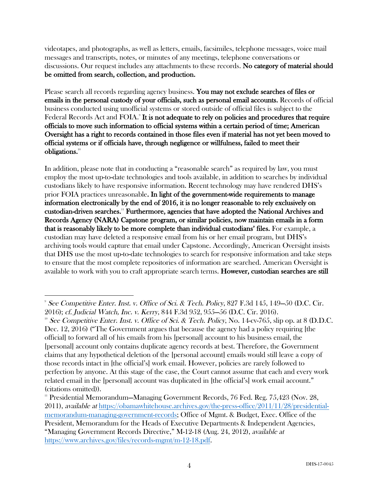videotapes, and photographs, as well as letters, emails, facsimiles, telephone messages, voice mail messages and transcripts, notes, or minutes of any meetings, telephone conversations or discussions. Our request includes any attachments to these records. No category of material should be omitted from search, collection, and production.

Please search all records regarding agency business. You may not exclude searches of files or emails in the personal custody of your officials, such as personal email accounts. Records of official business conducted using unofficial systems or stored outside of official files is subject to the Federal Records Act and FOIA.<sup>9</sup> It is not adequate to rely on policies and procedures that require officials to move such information to official systems within a certain period of time; American Oversight has a right to records contained in those files even if material has not yet been moved to official systems or if officials have, through negligence or willfulness, failed to meet their obligations.10

In addition, please note that in conducting a "reasonable search" as required by law, you must employ the most up-to-date technologies and tools available, in addition to searches by individual custodians likely to have responsive information. Recent technology may have rendered DHS's prior FOIA practices unreasonable. In light of the government-wide requirements to manage information electronically by the end of 2016, it is no longer reasonable to rely exclusively on custodian-driven searches.11 Furthermore, agencies that have adopted the National Archives and Records Agency (NARA) Capstone program, or similar policies, now maintain emails in a form that is reasonably likely to be more complete than individual custodians' files. For example, a custodian may have deleted a responsive email from his or her email program, but DHS's archiving tools would capture that email under Capstone. Accordingly, American Oversight insists that DHS use the most up-to-date technologies to search for responsive information and take steps to ensure that the most complete repositories of information are searched. American Oversight is available to work with you to craft appropriate search terms. However, custodian searches are still

 

<sup>9</sup> See Competitive Enter. Inst. v. Office of Sci. & Tech. Policy, 827 F.3d 145, 149—50 (D.C. Cir. 2016); cf. Judicial Watch, Inc. v. Kerry, 844 F.3d 952, 955—56 (D.C. Cir. 2016).<br><sup>10</sup> See Competitive Enter. Inst. v. Office of Sci. & Tech. Policy, No. 14-cv-765, slip op. at 8 (D.D.C.

Dec. 12, 2016) ("The Government argues that because the agency had a policy requiring [the official] to forward all of his emails from his [personal] account to his business email, the [personal] account only contains duplicate agency records at best. Therefore, the Government claims that any hypothetical deletion of the [personal account] emails would still leave a copy of those records intact in [the official's] work email. However, policies are rarely followed to perfection by anyone. At this stage of the case, the Court cannot assume that each and every work related email in the [personal] account was duplicated in [the official's] work email account." (citations omitted)).

<sup>&</sup>lt;sup>11</sup> Presidential Memorandum-Managing Government Records, 76 Fed. Reg. 75,423 (Nov. 28, 2011), available at https://obamawhitehouse.archives.gov/the-press-office/2011/11/28/presidentialmemorandum-managing-government-records; Office of Mgmt. & Budget, Exec. Office of the President, Memorandum for the Heads of Executive Departments & Independent Agencies, "Managing Government Records Directive," M-12-18 (Aug. 24, 2012), available at https://www.archives.gov/files/records-mgmt/m-12-18.pdf.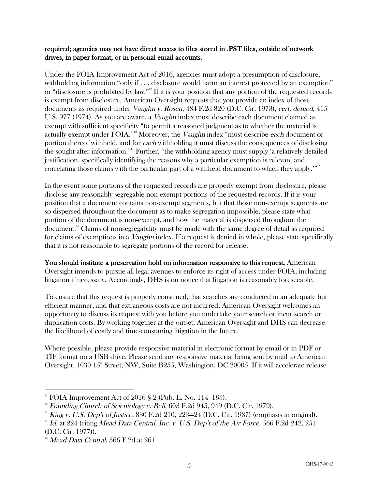#### required; agencies may not have direct access to files stored in .PST files, outside of network drives, in paper format, or in personal email accounts.

Under the FOIA Improvement Act of 2016, agencies must adopt a presumption of disclosure, withholding information "only if . . . disclosure would harm an interest protected by an exemption" or "disclosure is prohibited by law."12 If it is your position that any portion of the requested records is exempt from disclosure, American Oversight requests that you provide an index of those documents as required under Vaughn v. Rosen, 484 F.2d 820 (D.C. Cir. 1973), cert. denied, 415 U.S. 977 (1974). As you are aware, a Vaughn index must describe each document claimed as exempt with sufficient specificity "to permit a reasoned judgment as to whether the material is actually exempt under FOIA."<sup>13</sup> Moreover, the *Vaughn* index "must describe each document or portion thereof withheld, and for each withholding it must discuss the consequences of disclosing the sought-after information."14 Further, "the withholding agency must supply 'a relatively detailed justification, specifically identifying the reasons why a particular exemption is relevant and correlating those claims with the particular part of a withheld document to which they apply.'"<sup>15</sup>

In the event some portions of the requested records are properly exempt from disclosure, please disclose any reasonably segregable non-exempt portions of the requested records. If it is your position that a document contains non-exempt segments, but that those non-exempt segments are so dispersed throughout the document as to make segregation impossible, please state what portion of the document is non-exempt, and how the material is dispersed throughout the document.16 Claims of nonsegregability must be made with the same degree of detail as required for claims of exemptions in a *Vaughn* index. If a request is denied in whole, please state specifically that it is not reasonable to segregate portions of the record for release.

You should institute a preservation hold on information responsive to this request. American Oversight intends to pursue all legal avenues to enforce its right of access under FOIA, including litigation if necessary. Accordingly, DHS is on notice that litigation is reasonably foreseeable.

To ensure that this request is properly construed, that searches are conducted in an adequate but efficient manner, and that extraneous costs are not incurred, American Oversight welcomes an opportunity to discuss its request with you before you undertake your search or incur search or duplication costs. By working together at the outset, American Oversight and DHS can decrease the likelihood of costly and time-consuming litigation in the future.

Where possible, please provide responsive material in electronic format by email or in PDF or TIF format on a USB drive. Please send any responsive material being sent by mail to American Oversight, 1030  $15^{\text{th}}$  Street, NW, Suite B255, Washington, DC 20005. If it will accelerate release

 

 $12$  FOIA Improvement Act of 2016 § 2 (Pub. L. No. 114–185).

 $13$  Founding Church of Scientology v. Bell, 603 F.2d 945, 949 (D.C. Cir. 1979).

 $14$  King v. U.S. Dep't of Justice, 830 F.2d 210, 223–24 (D.C. Cir. 1987) (emphasis in original).

 $^{15}$  Id. at 224 (citing Mead Data Central, Inc. v. U.S. Dep't of the Air Force, 566 F.2d 242, 251 (D.C. Cir. 1977)).

 $16$  Mead Data Central, 566 F.2d at 261.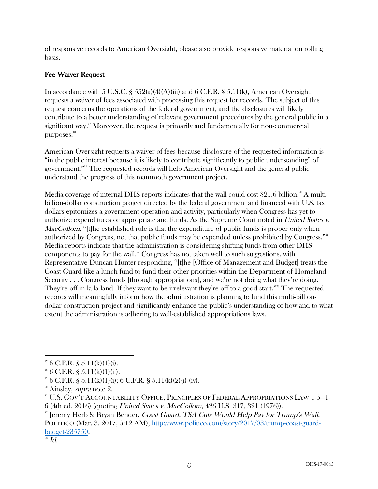of responsive records to American Oversight, please also provide responsive material on rolling basis.

## Fee Waiver Request

In accordance with 5 U.S.C. §  $552(a)(4)(A)(iii)$  and 6 C.F.R. §  $5.11(k)$ , American Oversight requests a waiver of fees associated with processing this request for records. The subject of this request concerns the operations of the federal government, and the disclosures will likely contribute to a better understanding of relevant government procedures by the general public in a significant way.<sup>17</sup> Moreover, the request is primarily and fundamentally for non-commercial purposes.<sup>18</sup>

American Oversight requests a waiver of fees because disclosure of the requested information is "in the public interest because it is likely to contribute significantly to public understanding" of government." <sup>19</sup> The requested records will help American Oversight and the general public understand the progress of this mammoth government project.

Media coverage of internal DHS reports indicates that the wall could cost \$21.6 billion.<sup>20</sup> A multibillion-dollar construction project directed by the federal government and financed with U.S. tax dollars epitomizes a government operation and activity, particularly when Congress has yet to authorize expenditures or appropriate and funds. As the Supreme Court noted in United States v. MacCollom, "[t]he established rule is that the expenditure of public funds is proper only when authorized by Congress, not that public funds may be expended unless prohibited by Congress."<sup>21</sup> Media reports indicate that the administration is considering shifting funds from other DHS components to pay for the wall.<sup>22</sup> Congress has not taken well to such suggestions, with Representative Duncan Hunter responding, "[t]he [Office of Management and Budget] treats the Coast Guard like a lunch fund to fund their other priorities within the Department of Homeland Security . . . Congress funds [through appropriations], and we're not doing what they're doing. They're off in la-la-land. If they want to be irrelevant they're off to a good start."<sup>23</sup> The requested records will meaningfully inform how the administration is planning to fund this multi-billiondollar construction project and significantly enhance the public's understanding of how and to what extent the administration is adhering to well-established appropriations laws.

 $2<sup>22</sup>$  Jeremy Herb & Bryan Bender, *Coast Guard, TSA Cuts Would Help Pay for Trump's Wall*,

  $17 \text{ } 6 \text{ } C.F.R. \text{ }$  § 5.11(k)(1)(i).

 $18 \text{ } 6 \text{ } C.F.R. \text{ }$  § 5.11(k)(1)(ii).

<sup>&</sup>lt;sup>19</sup> 6 C.F.R. § 5.11(k)(1)(i); 6 C.F.R. § 5.11(k)(2)(i)-(iv).

 $2^{\circ}$  Ainsley, *supra* note 2.

<sup>&</sup>lt;sup>21</sup> U.S. GOV'T ACCOUNTABILITY OFFICE, PRINCIPLES OF FEDERAL APPROPRIATIONS LAW 1-5-1-6 (4th ed. 2016) (quoting United States v. MacCollom, 426 U.S. 317, 321 (1976)).

POLITICO (Mar. 3, 2017, 5:12 AM), http://www.politico.com/story/2017/03/trump-coast-guardbudget-235750.

 $^{23}$  Id.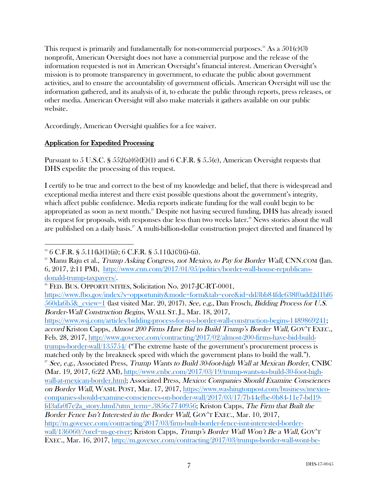This request is primarily and fundamentally for non-commercial purposes.<sup>24</sup> As a  $501(c)(3)$ nonprofit, American Oversight does not have a commercial purpose and the release of the information requested is not in American Oversight's financial interest. American Oversight's mission is to promote transparency in government, to educate the public about government activities, and to ensure the accountability of government officials. American Oversight will use the information gathered, and its analysis of it, to educate the public through reports, press releases, or other media. American Oversight will also make materials it gathers available on our public website.

Accordingly, American Oversight qualifies for a fee waiver.

### Application for Expedited Processing

Pursuant to 5 U.S.C. §  $552(a)(6)(E)(1)$  and 6 C.F.R. § 5.5(e), American Oversight requests that DHS expedite the processing of this request.

I certify to be true and correct to the best of my knowledge and belief, that there is widespread and exceptional media interest and there exist possible questions about the government's integrity, which affect public confidence. Media reports indicate funding for the wall could begin to be appropriated as soon as next month. $^{25}$  Despite not having secured funding, DHS has already issued its request for proposals, with responses due less than two weeks later.<sup>26</sup> News stories about the wall are published on a daily basis.<sup>27</sup> A multi-billion-dollar construction project directed and financed by

https://www.wsj.com/articles/bidding-process-for-u-s-border-wall-construction-begins-1489869241; accord Kriston Capps, Almost 200 Firms Have Bid to Build Trump's Border Wall, GOV'T EXEC., Feb. 28, 2017, http://www.govexec.com/contracting/2017/02/almost-200-firms-have-bid-buildtrumps-border-wall/135754/ ("The extreme haste of the government's procurement process is matched only by the breakneck speed with which the government plans to build the wall.").  $^{27}$  See, e.g., Associated Press, Trump Wants to Build 30-foot-high Wall at Mexican Border, CNBC (Mar. 19, 2017, 6:22 AM), http://www.cnbc.com/2017/03/19/trump-wants-to-build-30-foot-highwall-at-mexican-border.html; Associated Press, Mexico: Companies Should Examine Consciences on Border Wall, WASH. POST, Mar. 17, 2017, https://www.washingtonpost.com/business/mexicocompanies-should-examine-consciences-on-border-wall/2017/03/17/7b44efbe-0b84-11e7-bd19 fd3afa0f7e2a\_story.html?utm\_term=.3856c7740956; Kriston Capps, The Firm that Built the Border Fence Isn't Interested in the Border Wall, GOV'T EXEC., Mar. 10, 2017, http://m.govexec.com/contracting/2017/03/firm-built-border-fence-isnt-interested-borderwall/136060/?oref=m-ge-river; Kriston Capps, Trump's Border Wall Won't Be a Wall, GOV'T EXEC., Mar. 16, 2017, http://m.govexec.com/contracting/2017/03/trumps-border-wall-wont-be-

  $24 \text{ } 6 \text{ } C.F.R. \text{ }$  § 5.11(k)(1)(ii); 6 C.F.R. § 5.11(k)(3)(i)-(ii).

<sup>&</sup>lt;sup>25</sup> Manu Raju et al., *Trump Asking Congress, not Mexico, to Pay for Border Wall*, CNN.COM (Jan. 6, 2017, 2:11 PM), http://www.cnn.com/2017/01/05/politics/border-wall-house-republicans-

donald-trump-taxpayers/.<br><sup>26</sup> FED. BUS. OPPORTUNITIES, Solicitation No. 2017-JC-RT-0001,

https://www.fbo.gov/index?s=opportunity&mode=form&tab=core&id=dd3bb84fde638f0add2d1bf6 560da6b5&\_cview=1 (last visited Mar. 20, 2017). See, e.g., Dan Frosch, Bidding Process for U.S. Border-Wall Construction Begins, WALL ST. J., Mar. 18, 2017,